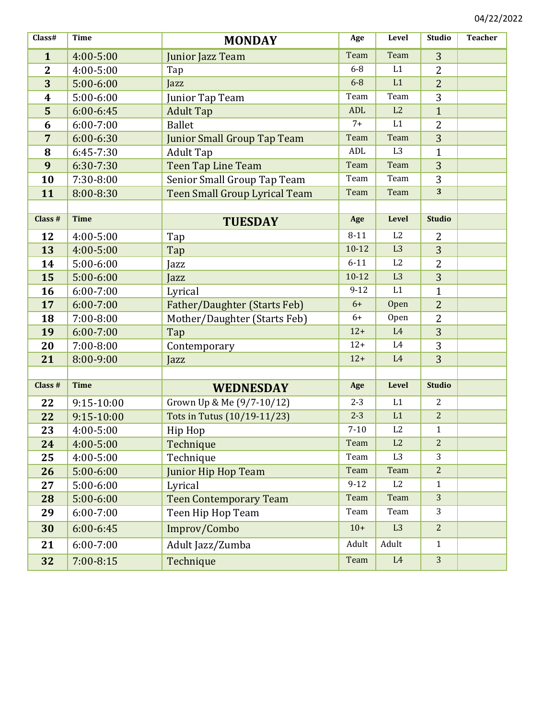| Class#           | <b>Time</b>   | <b>MONDAY</b>                        | Age        | Level          | <b>Studio</b>  | <b>Teacher</b> |
|------------------|---------------|--------------------------------------|------------|----------------|----------------|----------------|
| $\mathbf{1}$     | 4:00-5:00     | Junior Jazz Team                     | Team       | Team           | 3              |                |
| $\overline{2}$   | 4:00-5:00     | Tap                                  | $6-8$      | L1             | $\overline{2}$ |                |
| 3                | $5:00-6:00$   | Jazz                                 | $6-8$      | L1             | $\overline{2}$ |                |
| $\boldsymbol{4}$ | $5:00-6:00$   | Junior Tap Team                      | Team       | Team           | 3              |                |
| 5                | $6:00 - 6:45$ | <b>Adult Tap</b>                     | <b>ADL</b> | L2             | $\mathbf{1}$   |                |
| 6                | $6:00 - 7:00$ | <b>Ballet</b>                        | $7+$       | L1             | $\overline{2}$ |                |
| $\overline{7}$   | $6:00 - 6:30$ | <b>Junior Small Group Tap Team</b>   | Team       | Team           | 3              |                |
| 8                | 6:45-7:30     | <b>Adult Tap</b>                     | ADL        | L <sub>3</sub> | $\mathbf{1}$   |                |
| 9                | 6:30-7:30     | <b>Teen Tap Line Team</b>            | Team       | Team           | 3              |                |
| 10               | 7:30-8:00     | Senior Small Group Tap Team          | Team       | Team           | 3              |                |
| 11               | 8:00-8:30     | <b>Teen Small Group Lyrical Team</b> | Team       | Team           | 3              |                |
|                  |               |                                      |            |                |                |                |
| Class #          | <b>Time</b>   | <b>TUESDAY</b>                       | Age        | Level          | <b>Studio</b>  |                |
| 12               | $4:00 - 5:00$ | Tap                                  | $8 - 11$   | L <sub>2</sub> | 2              |                |
| 13               | 4:00-5:00     | Tap                                  | $10 - 12$  | L <sub>3</sub> | 3              |                |
| 14               | $5:00-6:00$   | Jazz                                 | $6 - 11$   | L2             | $\overline{2}$ |                |
| 15               | $5:00 - 6:00$ | Jazz                                 | $10 - 12$  | L <sub>3</sub> | 3              |                |
| 16               | $6:00 - 7:00$ | Lyrical                              | $9 - 12$   | L1             | $\mathbf{1}$   |                |
| 17               | $6:00 - 7:00$ | <b>Father/Daughter (Starts Feb)</b>  | $6+$       | Open           | $\overline{2}$ |                |
| 18               | $7:00 - 8:00$ | Mother/Daughter (Starts Feb)         | $6+$       | Open           | $\overline{2}$ |                |
| 19               | $6:00 - 7:00$ | Tap                                  | $12+$      | L4             | 3              |                |
| 20               | $7:00 - 8:00$ | Contemporary                         | $12+$      | L <sub>4</sub> | 3              |                |
| 21               | 8:00-9:00     | Jazz                                 | $12+$      | L4             | 3              |                |
|                  |               |                                      |            |                |                |                |
| Class #          | <b>Time</b>   | <b>WEDNESDAY</b>                     | Age        | Level          | <b>Studio</b>  |                |
| 22               | 9:15-10:00    | Grown Up & Me (9/7-10/12)            | $2 - 3$    | L1             | $\overline{2}$ |                |
| 22               | 9:15-10:00    | Tots in Tutus (10/19-11/23)          | $2 - 3$    | L1             | $\overline{2}$ |                |
| 23               | $4:00 - 5:00$ | Hip Hop                              | $7 - 10$   | L <sub>2</sub> | $\mathbf{1}$   |                |
| 24               | 4:00-5:00     | Technique                            | Team       | L2             | $\overline{2}$ |                |
| 25               | 4:00-5:00     | Technique                            | Team       | L <sub>3</sub> | 3              |                |
| 26               | $5:00 - 6:00$ | <b>Junior Hip Hop Team</b>           | Team       | Team           | $\overline{2}$ |                |
| 27               | 5:00-6:00     | Lyrical                              | $9 - 12$   | L2             | $\mathbf{1}$   |                |
| 28               | 5:00-6:00     | <b>Teen Contemporary Team</b>        | Team       | Team           | 3              |                |
| 29               | $6:00 - 7:00$ | Teen Hip Hop Team                    | Team       | Team           | 3              |                |
| 30               | $6:00 - 6:45$ | Improv/Combo                         | $10+$      | L <sub>3</sub> | 2              |                |
| 21               | $6:00 - 7:00$ | Adult Jazz/Zumba                     | Adult      | Adult          | $\mathbf{1}$   |                |
| 32               | $7:00 - 8:15$ | Technique                            | Team       | $\rm L4$       | 3              |                |